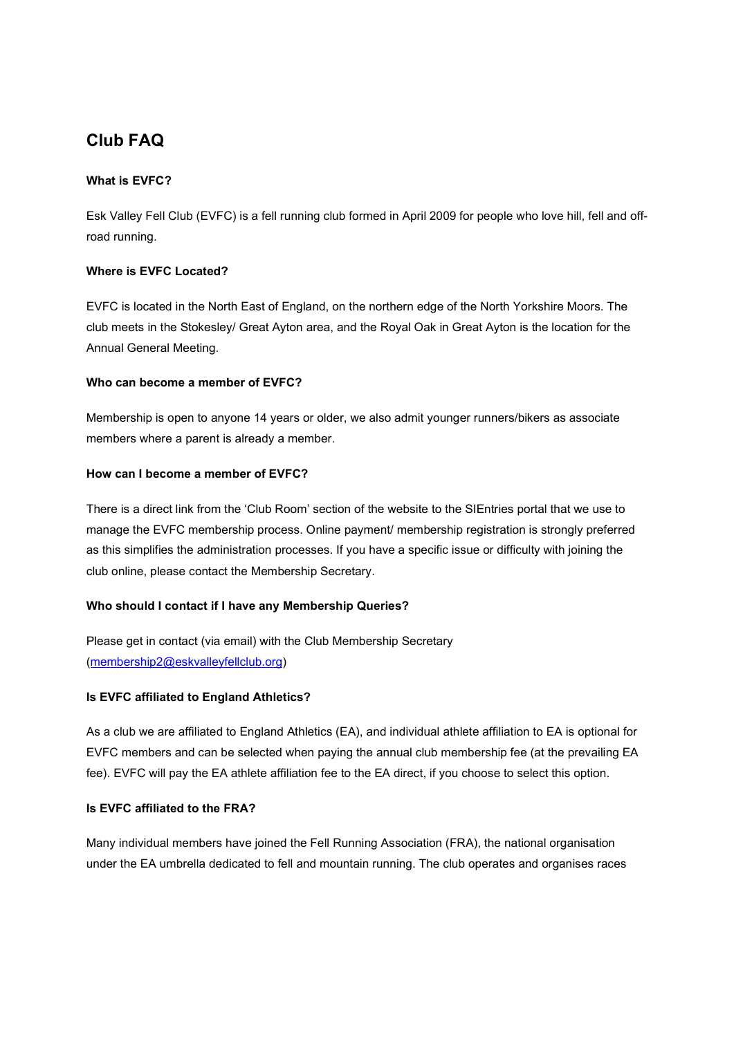# Club FAQ

### What is EVFC?

Esk Valley Fell Club (EVFC) is a fell running club formed in April 2009 for people who love hill, fell and offroad running.

## Where is EVFC Located?

EVFC is located in the North East of England, on the northern edge of the North Yorkshire Moors. The club meets in the Stokesley/ Great Ayton area, and the Royal Oak in Great Ayton is the location for the Annual General Meeting.

## Who can become a member of EVFC?

Membership is open to anyone 14 years or older, we also admit younger runners/bikers as associate members where a parent is already a member.

## How can I become a member of EVFC?

There is a direct link from the 'Club Room' section of the website to the SIEntries portal that we use to manage the EVFC membership process. Online payment/ membership registration is strongly preferred as this simplifies the administration processes. If you have a specific issue or difficulty with joining the club online, please contact the Membership Secretary.

### Who should I contact if I have any Membership Queries?

Please get in contact (via email) with the Club Membership Secretary (membership2@eskvalleyfellclub.org)

### Is EVFC affiliated to England Athletics?

As a club we are affiliated to England Athletics (EA), and individual athlete affiliation to EA is optional for EVFC members and can be selected when paying the annual club membership fee (at the prevailing EA fee). EVFC will pay the EA athlete affiliation fee to the EA direct, if you choose to select this option.

### Is EVFC affiliated to the FRA?

Many individual members have joined the Fell Running Association (FRA), the national organisation under the EA umbrella dedicated to fell and mountain running. The club operates and organises races